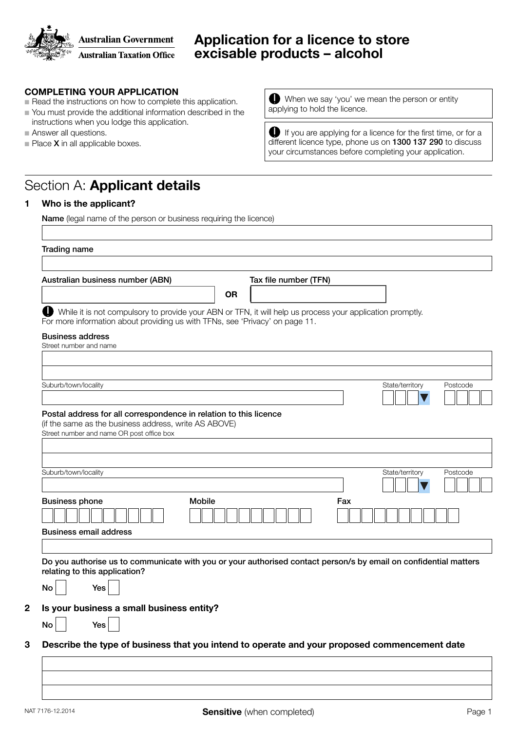

## Application for a licence to store excisable products – alcohol

#### COMPLETING YOUR APPLICATION

- $\blacksquare$  Read the instructions on how to complete this application.
- You must provide the additional information described in the instructions when you lodge this application.
- $\blacksquare$  Answer all questions.
- $\blacksquare$  Place **X** in all applicable boxes.

When we say 'you' we mean the person or entity applying to hold the licence.

If you are applying for a licence for the first time, or for a different licence type, phone us on 1300 137 290 to discuss your circumstances before completing your application.

## Section A: Applicant details

#### 1 Who is the applicant?

Name (legal name of the person or business requiring the licence)

| Australian business number (ABN)                                                                                                                                                                                                      |           | Tax file number (TFN) |     |                 |          |
|---------------------------------------------------------------------------------------------------------------------------------------------------------------------------------------------------------------------------------------|-----------|-----------------------|-----|-----------------|----------|
|                                                                                                                                                                                                                                       | <b>OR</b> |                       |     |                 |          |
|                                                                                                                                                                                                                                       |           |                       |     |                 |          |
| While it is not compulsory to provide your ABN or TFN, it will help us process your application promptly.<br>For more information about providing us with TFNs, see 'Privacy' on page 11.                                             |           |                       |     |                 |          |
|                                                                                                                                                                                                                                       |           |                       |     |                 |          |
| <b>Business address</b><br>Street number and name                                                                                                                                                                                     |           |                       |     |                 |          |
|                                                                                                                                                                                                                                       |           |                       |     |                 |          |
|                                                                                                                                                                                                                                       |           |                       |     |                 |          |
| Suburb/town/locality                                                                                                                                                                                                                  |           |                       |     | State/territory | Postcode |
|                                                                                                                                                                                                                                       |           |                       |     |                 |          |
|                                                                                                                                                                                                                                       |           |                       |     |                 |          |
| Postal address for all correspondence in relation to this licence                                                                                                                                                                     |           |                       |     |                 |          |
| (if the same as the business address, write AS ABOVE)                                                                                                                                                                                 |           |                       |     |                 |          |
| Street number and name OR post office box                                                                                                                                                                                             |           |                       |     |                 |          |
|                                                                                                                                                                                                                                       |           |                       |     |                 |          |
|                                                                                                                                                                                                                                       |           |                       |     |                 |          |
| Suburb/town/locality                                                                                                                                                                                                                  |           |                       |     | State/territory | Postcode |
|                                                                                                                                                                                                                                       |           |                       |     |                 |          |
|                                                                                                                                                                                                                                       |           |                       |     |                 |          |
|                                                                                                                                                                                                                                       |           |                       |     |                 |          |
| <b>Business phone</b><br><b>Mobile</b>                                                                                                                                                                                                |           |                       | Fax |                 |          |
|                                                                                                                                                                                                                                       |           |                       |     |                 |          |
|                                                                                                                                                                                                                                       |           |                       |     |                 |          |
|                                                                                                                                                                                                                                       |           |                       |     |                 |          |
|                                                                                                                                                                                                                                       |           |                       |     |                 |          |
|                                                                                                                                                                                                                                       |           |                       |     |                 |          |
|                                                                                                                                                                                                                                       |           |                       |     |                 |          |
| Yes                                                                                                                                                                                                                                   |           |                       |     |                 |          |
|                                                                                                                                                                                                                                       |           |                       |     |                 |          |
| <b>Business email address</b><br>Do you authorise us to communicate with you or your authorised contact person/s by email on confidential matters<br>relating to this application?<br>No<br>Is your business a small business entity? |           |                       |     |                 |          |
| No<br>Yes                                                                                                                                                                                                                             |           |                       |     |                 |          |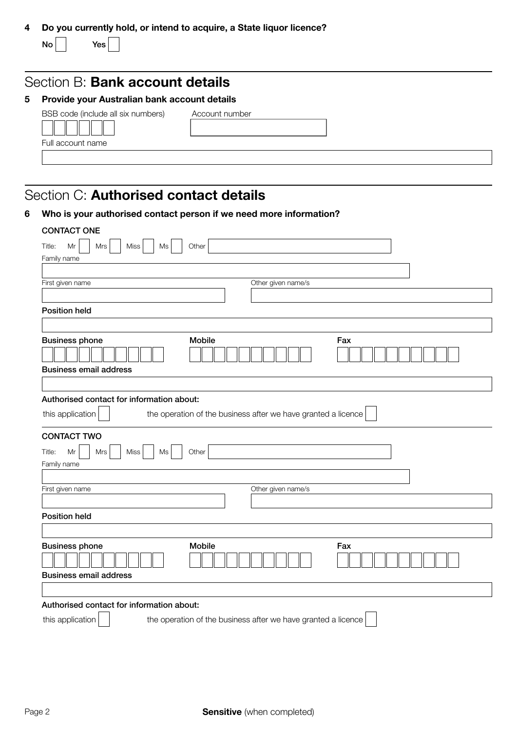| 4 Do you currently hold, or intend to acquire, a State liquor licence? |
|------------------------------------------------------------------------|
|------------------------------------------------------------------------|

 $No$  Yes

## Section B: Bank account details

### 5 Provide your Australian bank account details

| BSB code (include all six |
|---------------------------|
|                           |
| Full account name         |
|                           |

numbers) Account number

# Section C: Authorised contact details

|  |  |  | Who is your authorised contact person if we need more information? |
|--|--|--|--------------------------------------------------------------------|
|--|--|--|--------------------------------------------------------------------|

| <b>CONTACT ONE</b>                                                                |
|-----------------------------------------------------------------------------------|
| Mr<br>Title:<br>Mrs<br>Miss<br>Ms<br>Other                                        |
| Family name                                                                       |
|                                                                                   |
| Other given name/s<br>First given name                                            |
|                                                                                   |
| <b>Position held</b>                                                              |
|                                                                                   |
| Mobile<br><b>Business phone</b><br>Fax                                            |
|                                                                                   |
| <b>Business email address</b>                                                     |
|                                                                                   |
| Authorised contact for information about:                                         |
| this application<br>the operation of the business after we have granted a licence |
| <b>CONTACT TWO</b>                                                                |
| Mr<br>Title:<br>Mrs<br>Miss<br>Other<br>Ms                                        |
| Family name                                                                       |
| Other given name/s<br>First given name                                            |
|                                                                                   |
| <b>Position held</b>                                                              |
|                                                                                   |
|                                                                                   |
| Mobile<br>Fax                                                                     |
| <b>Business phone</b>                                                             |
| <b>Business email address</b>                                                     |
|                                                                                   |
| Authorised contact for information about:                                         |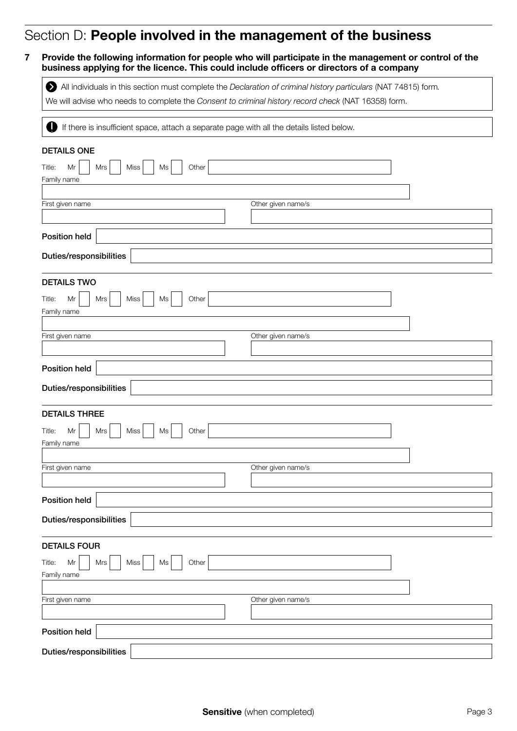## Section D: People involved in the management of the business

7 Provide the following information for people who will participate in the management or control of the business applying for the licence. This could include officers or directors of a company

All individuals in this section must complete the *Declaration of criminal history particulars* (NAT 74815) form*.*

We will advise who needs to complete the *Consent to criminal history record check* (NAT 16358) form.

If there is insufficient space, attach a separate page with all the details listed below.

| <b>DETAILS ONE</b>                                                                                                                                                                                                                                                                                                                                                                                                                                                                                                                                                |                    |
|-------------------------------------------------------------------------------------------------------------------------------------------------------------------------------------------------------------------------------------------------------------------------------------------------------------------------------------------------------------------------------------------------------------------------------------------------------------------------------------------------------------------------------------------------------------------|--------------------|
| Other<br>Miss<br>Title:<br>Mr<br>Mrs<br>Ms                                                                                                                                                                                                                                                                                                                                                                                                                                                                                                                        |                    |
| Family name                                                                                                                                                                                                                                                                                                                                                                                                                                                                                                                                                       |                    |
| First given name                                                                                                                                                                                                                                                                                                                                                                                                                                                                                                                                                  | Other given name/s |
|                                                                                                                                                                                                                                                                                                                                                                                                                                                                                                                                                                   |                    |
| <b>Position held</b>                                                                                                                                                                                                                                                                                                                                                                                                                                                                                                                                              |                    |
| Duties/responsibilities                                                                                                                                                                                                                                                                                                                                                                                                                                                                                                                                           |                    |
| <b>DETAILS TWO</b>                                                                                                                                                                                                                                                                                                                                                                                                                                                                                                                                                |                    |
| Miss<br>Other<br>Title:<br>Mr<br>Mrs<br>Ms                                                                                                                                                                                                                                                                                                                                                                                                                                                                                                                        |                    |
| Family name                                                                                                                                                                                                                                                                                                                                                                                                                                                                                                                                                       |                    |
| First given name                                                                                                                                                                                                                                                                                                                                                                                                                                                                                                                                                  | Other given name/s |
|                                                                                                                                                                                                                                                                                                                                                                                                                                                                                                                                                                   |                    |
| Position held                                                                                                                                                                                                                                                                                                                                                                                                                                                                                                                                                     |                    |
| Duties/responsibilities                                                                                                                                                                                                                                                                                                                                                                                                                                                                                                                                           |                    |
| <b>DETAILS THREE</b>                                                                                                                                                                                                                                                                                                                                                                                                                                                                                                                                              |                    |
| Mr<br>Mrs<br>Miss<br>Other<br>Title:<br>Ms<br>Family name                                                                                                                                                                                                                                                                                                                                                                                                                                                                                                         |                    |
|                                                                                                                                                                                                                                                                                                                                                                                                                                                                                                                                                                   |                    |
| First given name                                                                                                                                                                                                                                                                                                                                                                                                                                                                                                                                                  | Other given name/s |
|                                                                                                                                                                                                                                                                                                                                                                                                                                                                                                                                                                   |                    |
| <b>Position held</b>                                                                                                                                                                                                                                                                                                                                                                                                                                                                                                                                              |                    |
| Duties/responsibilities                                                                                                                                                                                                                                                                                                                                                                                                                                                                                                                                           |                    |
| <b>DETAILS FOUR</b>                                                                                                                                                                                                                                                                                                                                                                                                                                                                                                                                               |                    |
| Other<br>$\mathsf{Mr}% =\mathsf{Mr} \text{ }\mathsf{Mr} \text{ } \mathsf{Mr} \text{ } \mathsf{Mr} \text{ } \mathsf{Mr} \text{ } \mathsf{Mr} \text{ } \mathsf{Mr} \text{ } \mathsf{Mr} \text{ } \mathsf{Mr} \text{ } \mathsf{Mr} \text{ } \mathsf{Mr} \text{ } \mathsf{Mr} \text{ } \mathsf{Mr} \text{ } \mathsf{Mr} \text{ } \mathsf{Mr} \text{ } \mathsf{Mr} \text{ } \mathsf{Mr} \text{ } \mathsf{Mr} \text{ } \mathsf{Mr} \text{ } \mathsf{Mr} \text{ } \mathsf{Mr} \text{ } \mathsf{$<br>Mrs<br>Miss<br>$\operatorname{\mathsf{Ms}}$<br>Title:<br>Family name |                    |
|                                                                                                                                                                                                                                                                                                                                                                                                                                                                                                                                                                   |                    |
| First given name                                                                                                                                                                                                                                                                                                                                                                                                                                                                                                                                                  | Other given name/s |
|                                                                                                                                                                                                                                                                                                                                                                                                                                                                                                                                                                   |                    |
| Position held                                                                                                                                                                                                                                                                                                                                                                                                                                                                                                                                                     |                    |
| Duties/responsibilities                                                                                                                                                                                                                                                                                                                                                                                                                                                                                                                                           |                    |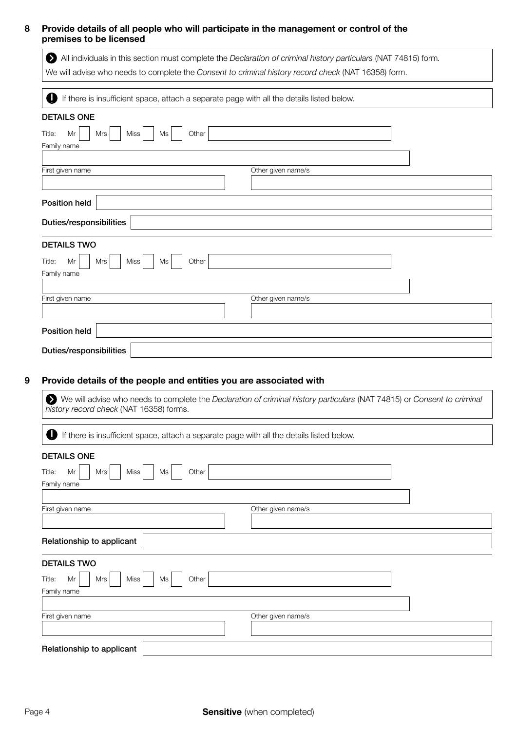#### 8 Provide details of all people who will participate in the management or control of the premises to be licensed

All individuals in this section must complete the *Declaration of criminal history particulars* (NAT 74815) form*.* We will advise who needs to complete the *Consent to criminal history record check* (NAT 16358) form. If there is insufficient space, attach a separate page with all the details listed below. Position held Duties/responsibilities  $Title: Mr \mid Mrs \mid Miss \mid Msl \quad$ Family name First given name  $\blacksquare$ DETAILS ONE Position held Duties/responsibilities Title:  $Mr$  | Mrs | Miss | Ms | Other Family name First given name **Other given name/s** DETAILS TWO

#### 9 Provide details of the people and entities you are associated with

We will advise who needs to complete the *Declaration of criminal history particulars* (NAT 74815) or *Consent to criminal history record check* (NAT 16358) forms.

| U<br>If there is insufficient space, attach a separate page with all the details listed below. |                    |  |
|------------------------------------------------------------------------------------------------|--------------------|--|
| <b>DETAILS ONE</b>                                                                             |                    |  |
| Other<br>Title:<br>Miss<br>Mr<br>Ms<br>Mrs<br>Family name                                      |                    |  |
|                                                                                                |                    |  |
| First given name                                                                               | Other given name/s |  |
| Relationship to applicant                                                                      |                    |  |
| <b>DETAILS TWO</b>                                                                             |                    |  |
| Miss<br>Other<br>Title:<br>Mr<br>Ms<br>Mrs                                                     |                    |  |
| Family name                                                                                    |                    |  |
| First given name                                                                               | Other given name/s |  |
| Relationship to applicant                                                                      |                    |  |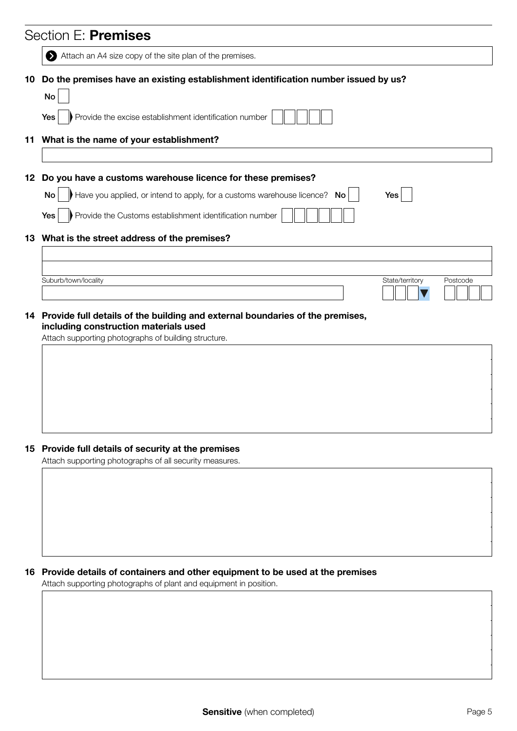|     | Section E: Premises                                                                           |
|-----|-----------------------------------------------------------------------------------------------|
|     | Attach an A4 size copy of the site plan of the premises.                                      |
| 10  | Do the premises have an existing establishment identification number issued by us?            |
|     | No                                                                                            |
|     | Provide the excise establishment identification number<br>Yes                                 |
|     | 11 What is the name of your establishment?                                                    |
| 12  | Do you have a customs warehouse licence for these premises?                                   |
|     | Have you applied, or intend to apply, for a customs warehouse licence? No<br>No<br>Yes        |
|     | Provide the Customs establishment identification number<br>Yes                                |
|     | 13 What is the street address of the premises?                                                |
|     |                                                                                               |
|     | Suburb/town/locality<br>State/territory<br>Postcode                                           |
|     |                                                                                               |
|     |                                                                                               |
|     | Provide full details of the building and external boundaries of the premises,                 |
| 14. | including construction materials used<br>Attach supporting photographs of building structure. |
|     |                                                                                               |
|     |                                                                                               |
|     |                                                                                               |
|     |                                                                                               |
|     |                                                                                               |
|     | 15 Provide full details of security at the premises                                           |
|     | Attach supporting photographs of all security measures.                                       |
|     |                                                                                               |
|     |                                                                                               |
|     |                                                                                               |
|     |                                                                                               |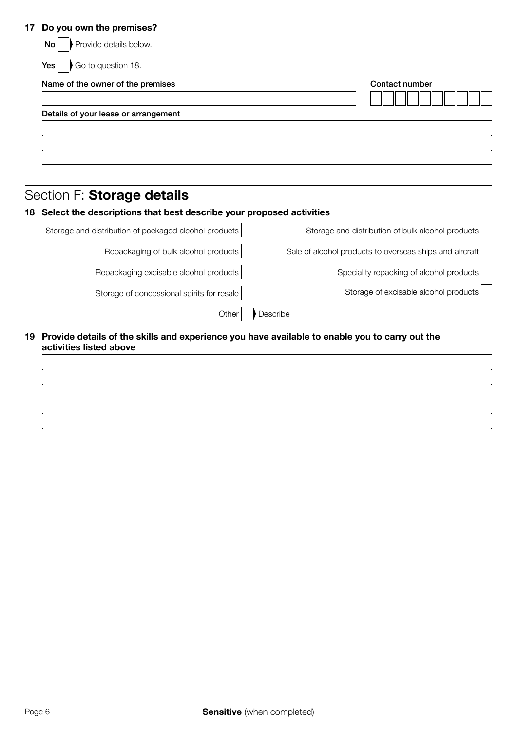#### 17 Do you own the premises?

| Contact number |
|----------------|
|                |
|                |
|                |
|                |

## Section F: Storage details

|                                                         | 18 Select the descriptions that best describe your proposed activities |  |
|---------------------------------------------------------|------------------------------------------------------------------------|--|
| Storage and distribution of bulk alcohol products       | Storage and distribution of packaged alcohol products                  |  |
| Sale of alcohol products to overseas ships and aircraft | Repackaging of bulk alcohol products                                   |  |
| Speciality repacking of alcohol products                | Repackaging excisable alcohol products                                 |  |
| Storage of excisable alcohol products                   | Storage of concessional spirits for resale                             |  |

#### 19 Provide details of the skills and experience you have available to enable you to carry out the activities listed above

Other Describe

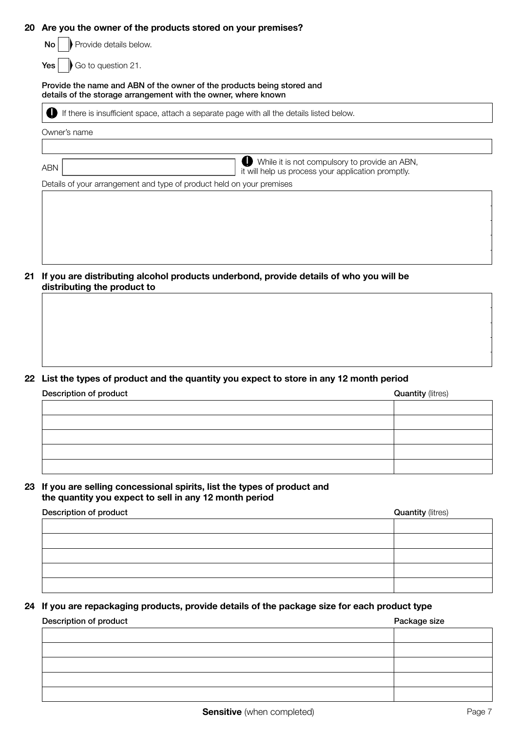#### 20 Are you the owner of the products stored on your premises?

| Provide details below.<br>No.                                                                                                            |                                                                                                                  |  |
|------------------------------------------------------------------------------------------------------------------------------------------|------------------------------------------------------------------------------------------------------------------|--|
| Go to question 21.<br>Yes                                                                                                                |                                                                                                                  |  |
| Provide the name and ABN of the owner of the products being stored and<br>details of the storage arrangement with the owner, where known |                                                                                                                  |  |
|                                                                                                                                          | If there is insufficient space, attach a separate page with all the details listed below.                        |  |
| Owner's name                                                                                                                             |                                                                                                                  |  |
|                                                                                                                                          |                                                                                                                  |  |
| <b>ABN</b>                                                                                                                               | $\bullet$<br>While it is not compulsory to provide an ABN,<br>it will help us process your application promptly. |  |
| Details of your arrangement and type of product held on your premises                                                                    |                                                                                                                  |  |
|                                                                                                                                          |                                                                                                                  |  |
|                                                                                                                                          |                                                                                                                  |  |
|                                                                                                                                          |                                                                                                                  |  |
|                                                                                                                                          |                                                                                                                  |  |

21 If you are distributing alcohol products underbond, provide details of who you will be distributing the product to

#### 22 List the types of product and the quantity you expect to store in any 12 month period

| Description of product | <b>Quantity (litres)</b> |
|------------------------|--------------------------|
|                        |                          |
|                        |                          |
|                        |                          |
|                        |                          |
|                        |                          |

#### 23 If you are selling concessional spirits, list the types of product and the quantity you expect to sell in any 12 month period

| Description of product | <b>Quantity (litres)</b> |
|------------------------|--------------------------|
|                        |                          |
|                        |                          |
|                        |                          |
|                        |                          |
|                        |                          |

#### 24 If you are repackaging products, provide details of the package size for each product type

# Description of product extensive product and the product product product product product product product product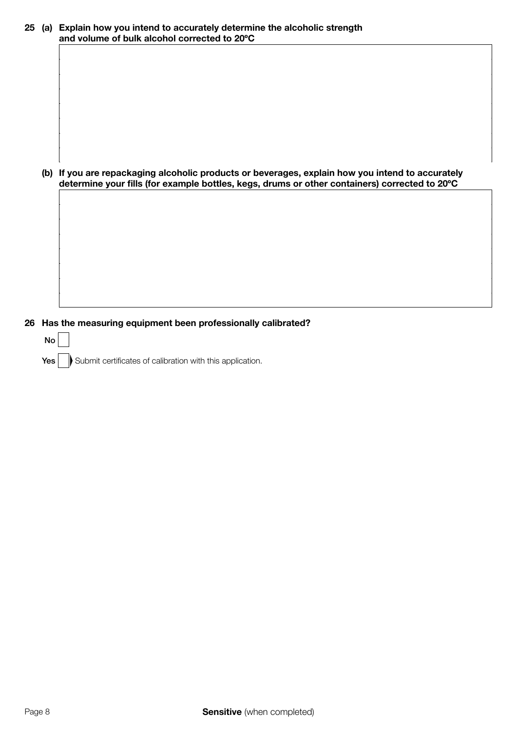| 25 | (a) Explain how you intend to accurately determine the alcoholic strength<br>and volume of bulk alcohol corrected to 20°C                                                                         |  |  |
|----|---------------------------------------------------------------------------------------------------------------------------------------------------------------------------------------------------|--|--|
|    |                                                                                                                                                                                                   |  |  |
|    |                                                                                                                                                                                                   |  |  |
|    |                                                                                                                                                                                                   |  |  |
|    |                                                                                                                                                                                                   |  |  |
|    |                                                                                                                                                                                                   |  |  |
|    |                                                                                                                                                                                                   |  |  |
|    | (b) If you are repackaging alcoholic products or beverages, explain how you intend to accurately<br>determine your fills (for example bottles, kegs, drums or other containers) corrected to 20°C |  |  |
|    |                                                                                                                                                                                                   |  |  |
|    |                                                                                                                                                                                                   |  |  |
|    |                                                                                                                                                                                                   |  |  |
|    |                                                                                                                                                                                                   |  |  |
|    |                                                                                                                                                                                                   |  |  |
|    |                                                                                                                                                                                                   |  |  |

26 Has the measuring equipment been professionally calibrated?

| No |                                                               |
|----|---------------------------------------------------------------|
|    | Yes Submit certificates of calibration with this application. |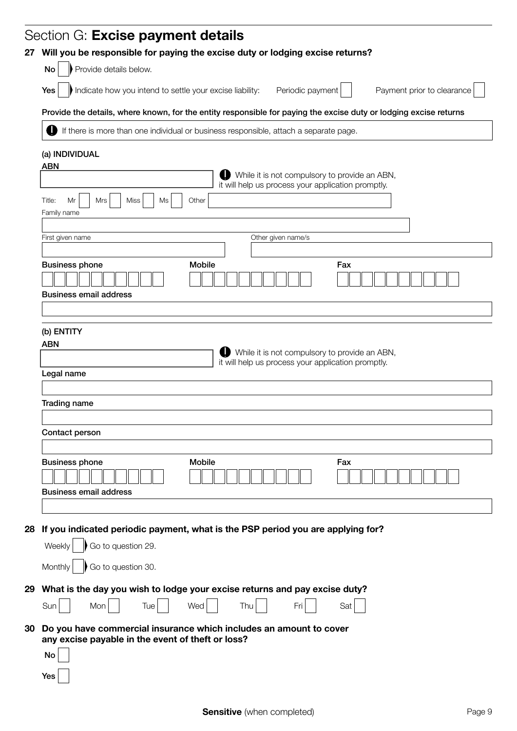|    | Section G: Excise payment details                                                                                 |
|----|-------------------------------------------------------------------------------------------------------------------|
| 27 | Will you be responsible for paying the excise duty or lodging excise returns?                                     |
|    | Provide details below.<br>No                                                                                      |
|    | Indicate how you intend to settle your excise liability:<br>Periodic payment<br>Yes<br>Payment prior to clearance |
|    | Provide the details, where known, for the entity responsible for paying the excise duty or lodging excise returns |
|    | If there is more than one individual or business responsible, attach a separate page.                             |
|    | (a) INDIVIDUAL<br><b>ABN</b>                                                                                      |
|    | While it is not compulsory to provide an ABN,<br>it will help us process your application promptly.               |
|    | <b>Miss</b><br>Title:<br>Mr<br>Mrs<br>Ms<br>Other                                                                 |
|    | Family name                                                                                                       |
|    | Other given name/s<br>First given name                                                                            |
|    | <b>Mobile</b><br><b>Business phone</b><br>Fax                                                                     |
|    |                                                                                                                   |
|    | <b>Business email address</b>                                                                                     |
|    |                                                                                                                   |
|    | (b) ENTITY                                                                                                        |
|    | <b>ABN</b><br>While it is not compulsory to provide an ABN,                                                       |
|    | it will help us process your application promptly.<br>Legal name                                                  |
|    |                                                                                                                   |
|    | <b>Trading name</b>                                                                                               |
|    |                                                                                                                   |
|    | Contact person                                                                                                    |
|    | <b>Business phone</b><br><b>Mobile</b><br>Fax                                                                     |
|    |                                                                                                                   |
|    | <b>Business email address</b>                                                                                     |
|    |                                                                                                                   |
| 28 | If you indicated periodic payment, what is the PSP period you are applying for?                                   |
|    | Go to question 29.<br>Weekly                                                                                      |
|    | Go to question 30.<br>Monthly                                                                                     |
|    | 29 What is the day you wish to lodge your excise returns and pay excise duty?                                     |
|    | Sun<br>Mon<br>Tue<br>Wed<br>Fri<br>Thu<br>Sat                                                                     |
| 30 | Do you have commercial insurance which includes an amount to cover                                                |
|    | any excise payable in the event of theft or loss?<br>No                                                           |
|    | Yes                                                                                                               |
|    |                                                                                                                   |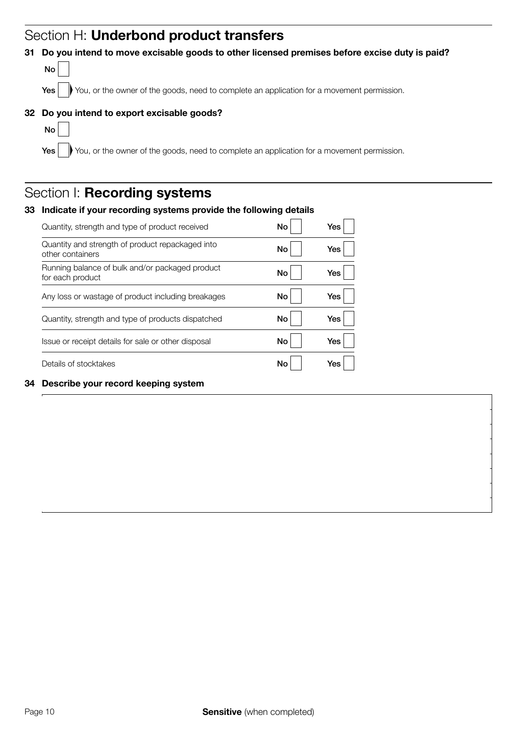# Section H: Underbond product transfers

#### 31 Do you intend to move excisable goods to other licensed premises before excise duty is paid?



Yes Ves Vou, or the owner of the goods, need to complete an application for a movement permission.

#### 32 Do you intend to export excisable goods?



Yes wou, or the owner of the goods, need to complete an application for a movement permission.

# Section I: Recording systems

| 33 | Indicate if your recording systems provide the following details     |    |     |  |  |
|----|----------------------------------------------------------------------|----|-----|--|--|
|    | Quantity, strength and type of product received                      | No | Yes |  |  |
|    | Quantity and strength of product repackaged into<br>other containers | No | Yes |  |  |
|    | Running balance of bulk and/or packaged product<br>for each product  | No | Yes |  |  |
|    | Any loss or wastage of product including breakages                   | No | Yes |  |  |
|    | Quantity, strength and type of products dispatched                   | No | Yes |  |  |
|    | Issue or receipt details for sale or other disposal                  | No | Yes |  |  |
|    | Details of stocktakes                                                | No | Yes |  |  |
| 34 | Describe your record keeping system                                  |    |     |  |  |